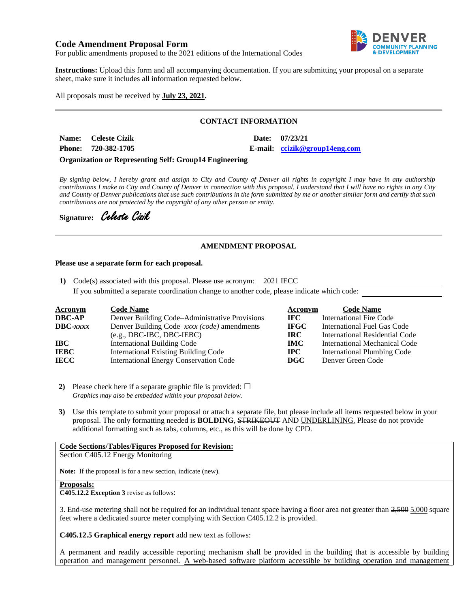## **Code Amendment Proposal Form**



For public amendments proposed to the 2021 editions of the International Codes

**Instructions:** Upload this form and all accompanying documentation. If you are submitting your proposal on a separate sheet, make sure it includes all information requested below.

All proposals must be received by **July 23, 2021.**

## **CONTACT INFORMATION**

| Name: Celeste Cizik | Date: 07/23/21                |
|---------------------|-------------------------------|
| Phone: 720-382-1705 | E-mail: ccizik@group14eng.com |

**Organization or Representing Self: Group14 Engineering**

*By signing below, I hereby grant and assign to City and County of Denver all rights in copyright I may have in any authorship contributions I make to City and County of Denver in connection with this proposal. I understand that I will have no rights in any City and County of Denver publications that use such contributions in the form submitted by me or another similar form and certify that such contributions are not protected by the copyright of any other person or entity.* 

Signature: Celeste Cizik

### **AMENDMENT PROPOSAL**

#### **Please use a separate form for each proposal.**

**1)** Code(s) associated with this proposal. Please use acronym: 2021 IECC If you submitted a separate coordination change to another code, please indicate which code:

| <b>Acronym</b>  | <b>Code Name</b>                               | Acronym     | <b>Code Name</b>               |
|-----------------|------------------------------------------------|-------------|--------------------------------|
| DBC-AP          | Denver Building Code–Administrative Provisions | IFC -       | International Fire Code        |
| <b>DBC-xxxx</b> | Denver Building Code–xxxx (code) amendments    | <b>IFGC</b> | International Fuel Gas Code    |
|                 | $(e.g., DBC-IBC, DBC-IEBC)$                    | IRC.        | International Residential Code |
| IBC-            | <b>International Building Code</b>             | <b>IMC</b>  | International Mechanical Code  |
| IEBC            | <b>International Existing Building Code</b>    | $\bf IPC$   | International Plumbing Code    |
| IECC            | <b>International Energy Conservation Code</b>  | <b>DGC</b>  | Denver Green Code              |

- **2)** Please check here if a separate graphic file is provided:  $\Box$ *Graphics may also be embedded within your proposal below.*
- **3)** Use this template to submit your proposal or attach a separate file, but please include all items requested below in your proposal. The only formatting needed is **BOLDING**, STRIKEOUT AND UNDERLINING. Please do not provide additional formatting such as tabs, columns, etc., as this will be done by CPD.

#### **Code Sections/Tables/Figures Proposed for Revision:**

Section C405.12 Energy Monitoring

**Note:** If the proposal is for a new section, indicate (new).

#### **Proposals:**

**C405.12.2 Exception 3** revise as follows:

3. End-use metering shall not be required for an individual tenant space having a floor area not greater than  $2,500$   $5,000$  square feet where a dedicated source meter complying with Section C405.12.2 is provided.

**C405.12.5 Graphical energy report** add new text as follows:

A permanent and readily accessible reporting mechanism shall be provided in the building that is accessible by building operation and management personnel. A web-based software platform accessible by building operation and management